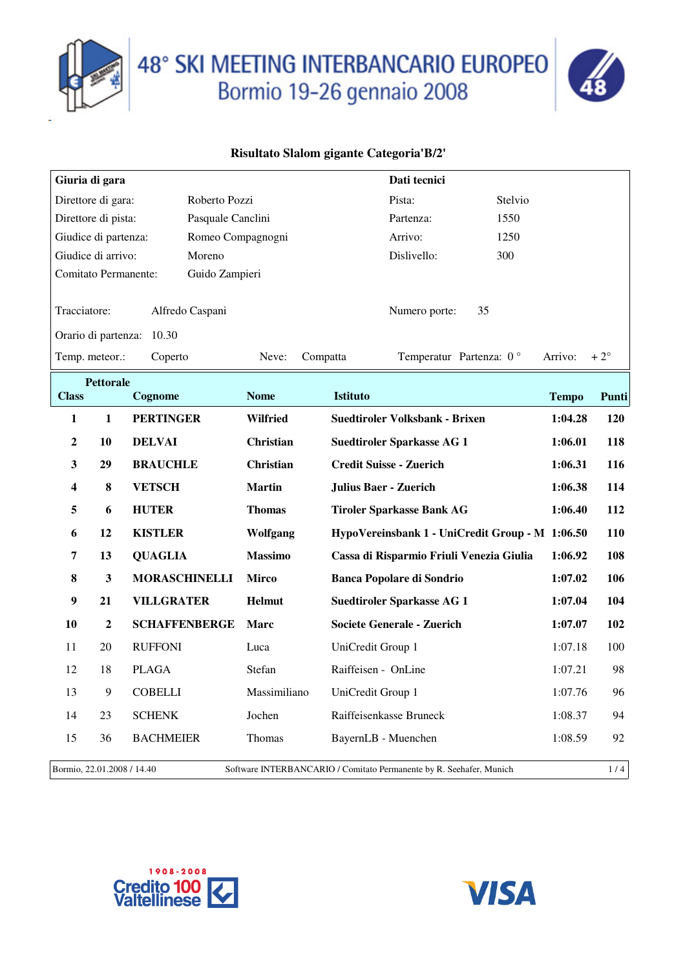



|                                 | Giuria di gara                                                                                    |                           |                 |                     | Dati tecnici                          |                                                 |              |              |
|---------------------------------|---------------------------------------------------------------------------------------------------|---------------------------|-----------------|---------------------|---------------------------------------|-------------------------------------------------|--------------|--------------|
|                                 | Direttore di gara:                                                                                | Roberto Pozzi             |                 |                     | Pista:                                | Stelvio                                         |              |              |
|                                 | Direttore di pista:                                                                               | Pasquale Canclini         |                 |                     | Partenza:                             | 1550                                            |              |              |
|                                 | Giudice di partenza:                                                                              | Romeo Compagnogni         |                 |                     | Arrivo:                               | 1250                                            |              |              |
|                                 | Giudice di arrivo:                                                                                | Moreno                    |                 |                     | Dislivello:                           | 300                                             |              |              |
|                                 | Comitato Permanente:                                                                              | Guido Zampieri            |                 |                     |                                       |                                                 |              |              |
| Tracciatore:<br>Alfredo Caspani |                                                                                                   |                           |                 | Numero porte:       | 35                                    |                                                 |              |              |
|                                 |                                                                                                   | Orario di partenza: 10.30 |                 |                     |                                       |                                                 |              |              |
|                                 | Temp. meteor.:                                                                                    | Coperto                   | Neve:           | Compatta            |                                       | Temperatur Partenza: 0°                         | Arrivo:      | $+2^{\circ}$ |
|                                 | <b>Pettorale</b>                                                                                  |                           |                 |                     |                                       |                                                 |              |              |
| <b>Class</b>                    |                                                                                                   | Cognome                   | <b>Nome</b>     | <b>Istituto</b>     |                                       |                                                 | <b>Tempo</b> | Punti        |
| 1                               | $\mathbf{1}$                                                                                      | <b>PERTINGER</b>          | <b>Wilfried</b> |                     | <b>Suedtiroler Volksbank - Brixen</b> |                                                 | 1:04.28      | <b>120</b>   |
| $\boldsymbol{2}$                | 10                                                                                                | <b>DELVAI</b>             | Christian       |                     | <b>Suedtiroler Sparkasse AG 1</b>     |                                                 | 1:06.01      | 118          |
| 3                               | 29                                                                                                | <b>BRAUCHLE</b>           | Christian       |                     | <b>Credit Suisse - Zuerich</b>        |                                                 | 1:06.31      | 116          |
| 4                               | ${\bf 8}$                                                                                         | <b>VETSCH</b>             | <b>Martin</b>   |                     | <b>Julius Baer - Zuerich</b>          |                                                 | 1:06.38      | 114          |
| 5                               | 6                                                                                                 | <b>HUTER</b>              | <b>Thomas</b>   |                     | <b>Tiroler Sparkasse Bank AG</b>      |                                                 | 1:06.40      | 112          |
| 6                               | 12                                                                                                | <b>KISTLER</b>            | Wolfgang        |                     |                                       | HypoVereinsbank 1 - UniCredit Group - M 1:06.50 |              | 110          |
| 7                               | 13                                                                                                | <b>QUAGLIA</b>            | <b>Massimo</b>  |                     |                                       | Cassa di Risparmio Friuli Venezia Giulia        | 1:06.92      | 108          |
| 8                               | $\mathbf{3}$                                                                                      | <b>MORASCHINELLI</b>      | <b>Mirco</b>    |                     | <b>Banca Popolare di Sondrio</b>      |                                                 | 1:07.02      | 106          |
| 9                               | 21                                                                                                | <b>VILLGRATER</b>         | Helmut          |                     | <b>Suedtiroler Sparkasse AG 1</b>     |                                                 | 1:07.04      | 104          |
| 10                              | $\boldsymbol{2}$                                                                                  | <b>SCHAFFENBERGE</b>      | Marc            |                     | <b>Societe Generale - Zuerich</b>     |                                                 | 1:07.07      | 102          |
| 11                              | 20                                                                                                | <b>RUFFONI</b>            | Luca            | UniCredit Group 1   |                                       |                                                 | 1:07.18      | 100          |
| 12                              | 18                                                                                                | <b>PLAGA</b>              | Stefan          | Raiffeisen - OnLine |                                       |                                                 | 1:07.21      | 98           |
| 13                              | 9                                                                                                 | <b>COBELLI</b>            | Massimiliano    | UniCredit Group 1   |                                       |                                                 | 1:07.76      | 96           |
| 14                              | 23                                                                                                | <b>SCHENK</b>             | Jochen          |                     | Raiffeisenkasse Bruneck               |                                                 | 1:08.37      | 94           |
| 15                              | 36                                                                                                | <b>BACHMEIER</b>          | Thomas          |                     | BayernLB - Muenchen                   |                                                 | 1:08.59      | 92           |
|                                 | Software INTERBANCARIO / Comitato Permanente by R. Seehafer, Munich<br>Bormio, 22.01.2008 / 14.40 |                           |                 |                     |                                       | 1/4                                             |              |              |



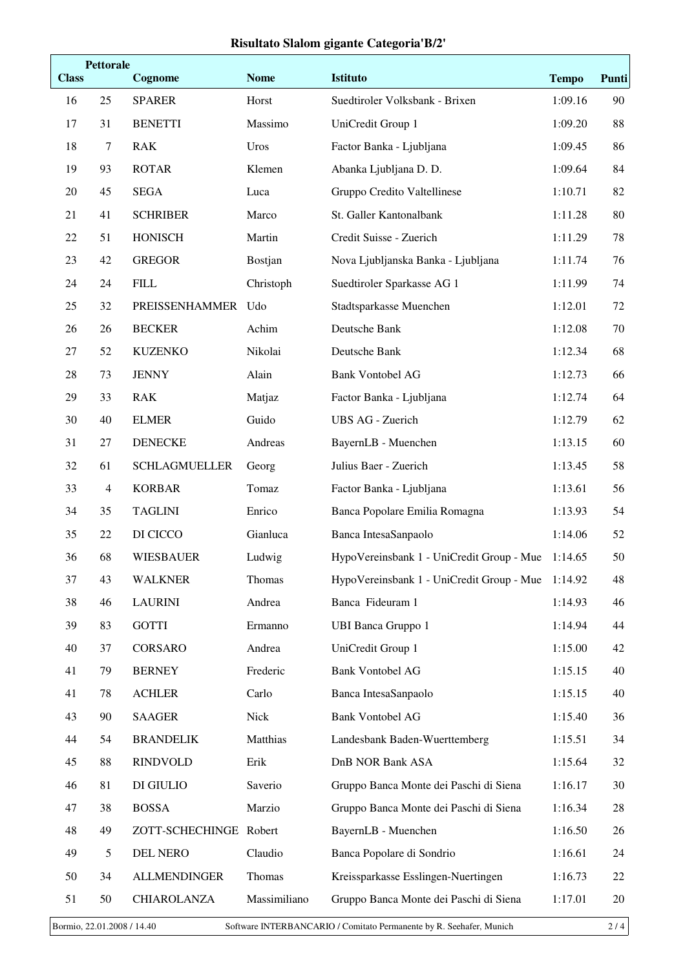| <b>Class</b> | <b>Pettorale</b> | Cognome                | <b>Nome</b>  | Istituto                                          | <b>Tempo</b> | Punti |
|--------------|------------------|------------------------|--------------|---------------------------------------------------|--------------|-------|
| 16           | 25               | <b>SPARER</b>          | Horst        | Suedtiroler Volksbank - Brixen                    | 1:09.16      | 90    |
| 17           | 31               | <b>BENETTI</b>         | Massimo      | UniCredit Group 1                                 | 1:09.20      | 88    |
| 18           | $\tau$           | <b>RAK</b>             | Uros         | Factor Banka - Ljubljana                          | 1:09.45      | 86    |
| 19           | 93               | <b>ROTAR</b>           | Klemen       | Abanka Ljubljana D. D.                            | 1:09.64      | 84    |
| 20           | 45               | <b>SEGA</b>            | Luca         | Gruppo Credito Valtellinese                       | 1:10.71      | 82    |
| 21           | 41               | <b>SCHRIBER</b>        | Marco        | St. Galler Kantonalbank                           | 1:11.28      | 80    |
| 22           | 51               | <b>HONISCH</b>         | Martin       | Credit Suisse - Zuerich                           | 1:11.29      | 78    |
| 23           | 42               | <b>GREGOR</b>          | Bostjan      | Nova Ljubljanska Banka - Ljubljana                | 1:11.74      | 76    |
| 24           | 24               | <b>FILL</b>            | Christoph    | Suedtiroler Sparkasse AG 1                        | 1:11.99      | 74    |
| 25           | 32               | PREISSENHAMMER Udo     |              | Stadtsparkasse Muenchen                           | 1:12.01      | 72    |
| 26           | 26               | <b>BECKER</b>          | Achim        | Deutsche Bank                                     | 1:12.08      | 70    |
| 27           | 52               | <b>KUZENKO</b>         | Nikolai      | Deutsche Bank                                     | 1:12.34      | 68    |
| 28           | 73               | <b>JENNY</b>           | Alain        | <b>Bank Vontobel AG</b>                           | 1:12.73      | 66    |
| 29           | 33               | <b>RAK</b>             | Matjaz       | Factor Banka - Ljubljana                          | 1:12.74      | 64    |
| 30           | 40               | <b>ELMER</b>           | Guido        | UBS AG - Zuerich                                  | 1:12.79      | 62    |
| 31           | $27\,$           | <b>DENECKE</b>         | Andreas      | BayernLB - Muenchen                               | 1:13.15      | 60    |
| 32           | 61               | <b>SCHLAGMUELLER</b>   | Georg        | Julius Baer - Zuerich                             | 1:13.45      | 58    |
| 33           | $\overline{4}$   | <b>KORBAR</b>          | Tomaz        | Factor Banka - Ljubljana                          | 1:13.61      | 56    |
| 34           | 35               | <b>TAGLINI</b>         | Enrico       | Banca Popolare Emilia Romagna                     | 1:13.93      | 54    |
| 35           | 22               | DI CICCO               | Gianluca     | Banca IntesaSanpaolo                              | 1:14.06      | 52    |
| 36           | 68               | <b>WIESBAUER</b>       | Ludwig       | HypoVereinsbank 1 - UniCredit Group - Mue         | 1:14.65      | 50    |
| 37           | 43               | <b>WALKNER</b>         | Thomas       | HypoVereinsbank 1 - UniCredit Group - Mue 1:14.92 |              | 48    |
| 38           | 46               | <b>LAURINI</b>         | Andrea       | Banca Fideuram 1                                  | 1:14.93      | 46    |
| 39           | 83               | <b>GOTTI</b>           | Ermanno      | <b>UBI Banca Gruppo 1</b>                         | 1:14.94      | 44    |
| 40           | 37               | CORSARO                | Andrea       | UniCredit Group 1                                 | 1:15.00      | 42    |
| 41           | 79               | <b>BERNEY</b>          | Frederic     | <b>Bank Vontobel AG</b>                           | 1:15.15      | 40    |
| 41           | 78               | <b>ACHLER</b>          | Carlo        | Banca IntesaSanpaolo                              | 1:15.15      | 40    |
| 43           | 90               | <b>SAAGER</b>          | Nick         | <b>Bank Vontobel AG</b>                           | 1:15.40      | 36    |
| 44           | 54               | <b>BRANDELIK</b>       | Matthias     | Landesbank Baden-Wuerttemberg                     | 1:15.51      | 34    |
| 45           | 88               | <b>RINDVOLD</b>        | Erik         | DnB NOR Bank ASA                                  | 1:15.64      | 32    |
| 46           | 81               | DI GIULIO              | Saverio      | Gruppo Banca Monte dei Paschi di Siena            | 1:16.17      | 30    |
| 47           | 38               | <b>BOSSA</b>           | Marzio       | Gruppo Banca Monte dei Paschi di Siena            | 1:16.34      | 28    |
| 48           | 49               | ZOTT-SCHECHINGE Robert |              | BayernLB - Muenchen                               | 1:16.50      | 26    |
| 49           | 5                | <b>DEL NERO</b>        | Claudio      | Banca Popolare di Sondrio                         | 1:16.61      | 24    |
| 50           | 34               | <b>ALLMENDINGER</b>    | Thomas       | Kreissparkasse Esslingen-Nuertingen               | 1:16.73      | 22    |
| 51           | 50               | CHIAROLANZA            | Massimiliano | Gruppo Banca Monte dei Paschi di Siena            | 1:17.01      | 20    |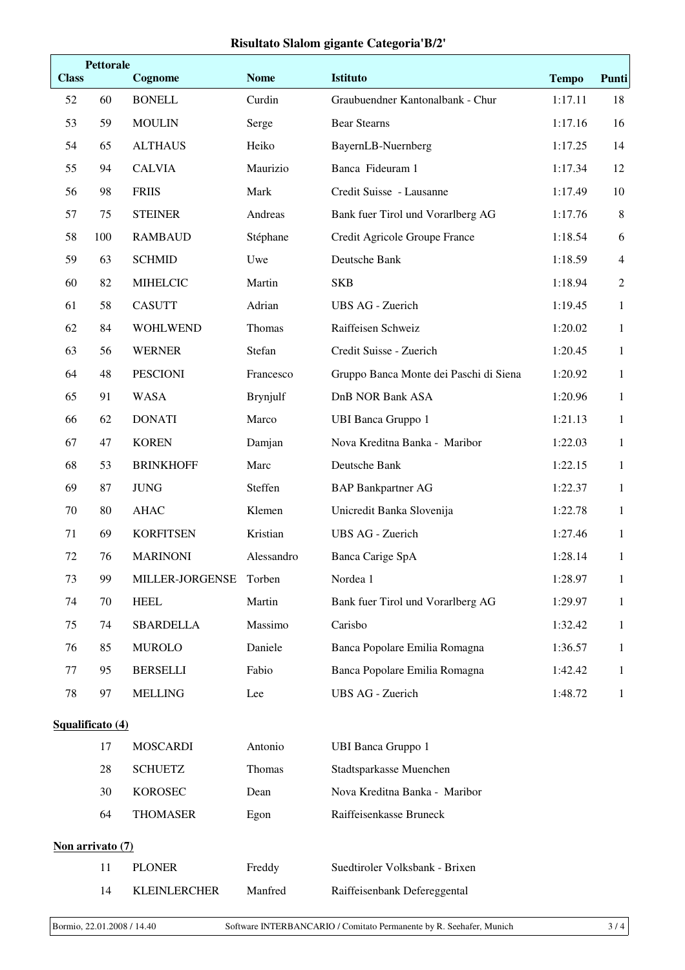| <b>Class</b>     | <b>Pettorale</b> | Cognome             | <b>Nome</b> | <b>Istituto</b>                        | <b>Tempo</b> | Punti          |  |
|------------------|------------------|---------------------|-------------|----------------------------------------|--------------|----------------|--|
| 52               | 60               | <b>BONELL</b>       | Curdin      | Graubuendner Kantonalbank - Chur       | 1:17.11      | 18             |  |
| 53               | 59               | <b>MOULIN</b>       | Serge       | <b>Bear Stearns</b>                    | 1:17.16      | 16             |  |
| 54               | 65               | <b>ALTHAUS</b>      | Heiko       | BayernLB-Nuernberg                     | 1:17.25      | 14             |  |
| 55               | 94               | <b>CALVIA</b>       | Maurizio    | Banca Fideuram 1                       | 1:17.34      | 12             |  |
| 56               | 98               | <b>FRIIS</b>        | Mark        | Credit Suisse - Lausanne               | 1:17.49      | 10             |  |
| 57               | 75               | <b>STEINER</b>      | Andreas     | Bank fuer Tirol und Vorarlberg AG      | 1:17.76      | $\,8\,$        |  |
| 58               | 100              | <b>RAMBAUD</b>      | Stéphane    | Credit Agricole Groupe France          | 1:18.54      | 6              |  |
| 59               | 63               | <b>SCHMID</b>       | Uwe         | Deutsche Bank                          | 1:18.59      | $\overline{4}$ |  |
| 60               | 82               | <b>MIHELCIC</b>     | Martin      | <b>SKB</b>                             | 1:18.94      | $\overline{2}$ |  |
| 61               | 58               | <b>CASUTT</b>       | Adrian      | <b>UBS AG - Zuerich</b>                | 1:19.45      | $\mathbf{1}$   |  |
| 62               | 84               | <b>WOHLWEND</b>     | Thomas      | Raiffeisen Schweiz                     | 1:20.02      | $\mathbf{1}$   |  |
| 63               | 56               | <b>WERNER</b>       | Stefan      | Credit Suisse - Zuerich                | 1:20.45      | $\mathbf{1}$   |  |
| 64               | 48               | <b>PESCIONI</b>     | Francesco   | Gruppo Banca Monte dei Paschi di Siena | 1:20.92      | $\mathbf{1}$   |  |
| 65               | 91               | <b>WASA</b>         | Brynjulf    | <b>DnB NOR Bank ASA</b>                | 1:20.96      | $\mathbf{1}$   |  |
| 66               | 62               | <b>DONATI</b>       | Marco       | <b>UBI Banca Gruppo 1</b>              | 1:21.13      | $\mathbf{1}$   |  |
| 67               | 47               | <b>KOREN</b>        | Damjan      | Nova Kreditna Banka - Maribor          | 1:22.03      | $\mathbf{1}$   |  |
| 68               | 53               | <b>BRINKHOFF</b>    | Marc        | Deutsche Bank                          | 1:22.15      | 1              |  |
| 69               | 87               | <b>JUNG</b>         | Steffen     | <b>BAP Bankpartner AG</b>              | 1:22.37      | $\mathbf{1}$   |  |
| 70               | 80               | <b>AHAC</b>         | Klemen      | Unicredit Banka Slovenija              | 1:22.78      | $\mathbf{1}$   |  |
| 71               | 69               | <b>KORFITSEN</b>    | Kristian    | <b>UBS AG - Zuerich</b>                | 1:27.46      | $\mathbf{1}$   |  |
| 72               | 76               | <b>MARINONI</b>     | Alessandro  | Banca Carige SpA                       | 1:28.14      | $\mathbf{1}$   |  |
| 73               | 99               | MILLER-JORGENSE     | Torben      | Nordea 1                               | 1:28.97      | 1              |  |
| 74               | 70               | <b>HEEL</b>         | Martin      | Bank fuer Tirol und Vorarlberg AG      | 1:29.97      | $\mathbf{1}$   |  |
| 75               | 74               | <b>SBARDELLA</b>    | Massimo     | Carisbo                                | 1:32.42      | $\mathbf{1}$   |  |
| 76               | 85               | <b>MUROLO</b>       | Daniele     | Banca Popolare Emilia Romagna          | 1:36.57      | $\mathbf{1}$   |  |
| 77               | 95               | <b>BERSELLI</b>     | Fabio       | Banca Popolare Emilia Romagna          | 1:42.42      | $\mathbf{1}$   |  |
| 78               | 97               | <b>MELLING</b>      | Lee         | UBS AG - Zuerich                       | 1:48.72      | $\mathbf{1}$   |  |
|                  | Squalificato (4) |                     |             |                                        |              |                |  |
|                  | 17               | <b>MOSCARDI</b>     | Antonio     | <b>UBI Banca Gruppo 1</b>              |              |                |  |
|                  | 28               | <b>SCHUETZ</b>      | Thomas      | Stadtsparkasse Muenchen                |              |                |  |
|                  | 30               | <b>KOROSEC</b>      | Dean        | Nova Kreditna Banka - Maribor          |              |                |  |
|                  | 64               | <b>THOMASER</b>     | Egon        | Raiffeisenkasse Bruneck                |              |                |  |
| Non arrivato (7) |                  |                     |             |                                        |              |                |  |
|                  | 11               | <b>PLONER</b>       | Freddy      | Suedtiroler Volksbank - Brixen         |              |                |  |
|                  | 14               | <b>KLEINLERCHER</b> | Manfred     | Raiffeisenbank Defereggental           |              |                |  |
|                  |                  |                     |             |                                        |              |                |  |